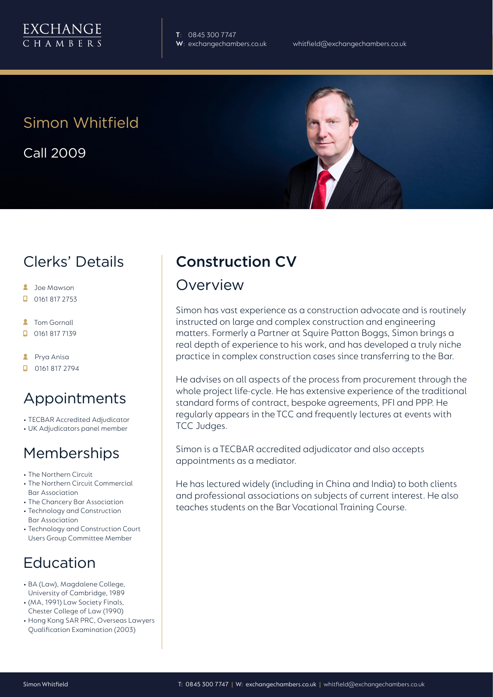

**T**: 0845 300 7747

# Simon Whitfield

Call 2009



## Clerks' Details

- **2** Joe Mawson
- $\Box$  0161 817 2753
- **2** Tom Gornall
- $\Box$  0161 817 7139
- **A** Prya Anisa
- $\Box$  0161 817 2794

# Appointments

- TECBAR Accredited Adjudicator
- UK Adjudicators panel member

# Memberships

- The Northern Circuit
- The Northern Circuit Commercial Bar Association
- The Chancery Bar Association
- Technology and Construction Bar Association
- Technology and Construction Court Users Group Committee Member

# Education

- BA (Law), Magdalene College, University of Cambridge, 1989
- (MA, 1991) Law Society Finals, Chester College of Law (1990)
- Hong Kong SAR PRC, Overseas Lawyers Qualification Examination (2003)

# Construction CV

#### Overview

Simon has vast experience as a construction advocate and is routinely instructed on large and complex construction and engineering matters. Formerly a Partner at Squire Patton Boggs, Simon brings a real depth of experience to his work, and has developed a truly niche practice in complex construction cases since transferring to the Bar.

He advises on all aspects of the process from procurement through the whole project life-cycle. He has extensive experience of the traditional standard forms of contract, bespoke agreements, PFI and PPP. He regularly appears in the TCC and frequently lectures at events with TCC Judges.

Simon is a TECBAR accredited adjudicator and also accepts appointments as a mediator.

He has lectured widely (including in China and India) to both clients and professional associations on subjects of current interest. He also teaches students on the Bar Vocational Training Course.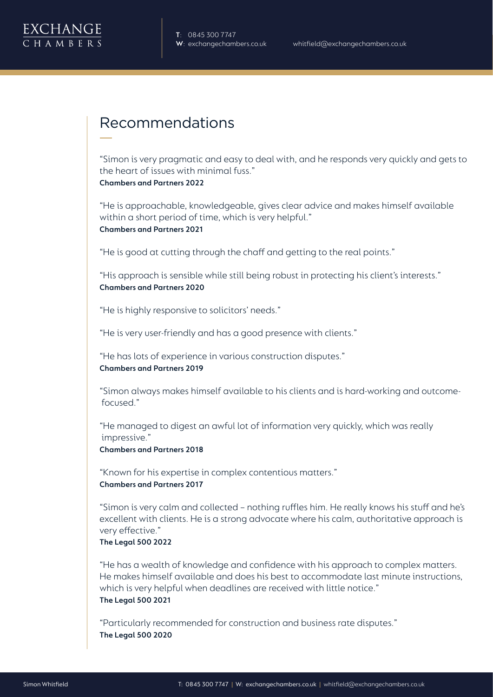

# Recommendations

"Simon is very pragmatic and easy to deal with, and he responds very quickly and gets to the heart of issues with minimal fuss." **Chambers and Partners 2022**

"He is approachable, knowledgeable, gives clear advice and makes himself available within a short period of time, which is very helpful." **Chambers and Partners 2021**

"He is good at cutting through the chaff and getting to the real points."

"His approach is sensible while still being robust in protecting his client's interests." **Chambers and Partners 2020**

"He is highly responsive to solicitors' needs."

"He is very user-friendly and has a good presence with clients."

"He has lots of experience in various construction disputes." **Chambers and Partners 2019**

"Simon always makes himself available to his clients and is hard-working and outcome focused."

"He managed to digest an awful lot of information very quickly, which was really impressive."

**Chambers and Partners 2018**

"Known for his expertise in complex contentious matters." **Chambers and Partners 2017**

"Simon is very calm and collected – nothing ruffles him. He really knows his stuff and he's excellent with clients. He is a strong advocate where his calm, authoritative approach is very effective."

#### **The Legal 500 2022**

"He has a wealth of knowledge and confidence with his approach to complex matters. He makes himself available and does his best to accommodate last minute instructions, which is very helpful when deadlines are received with little notice." **The Legal 500 2021**

"Particularly recommended for construction and business rate disputes." **The Legal 500 2020**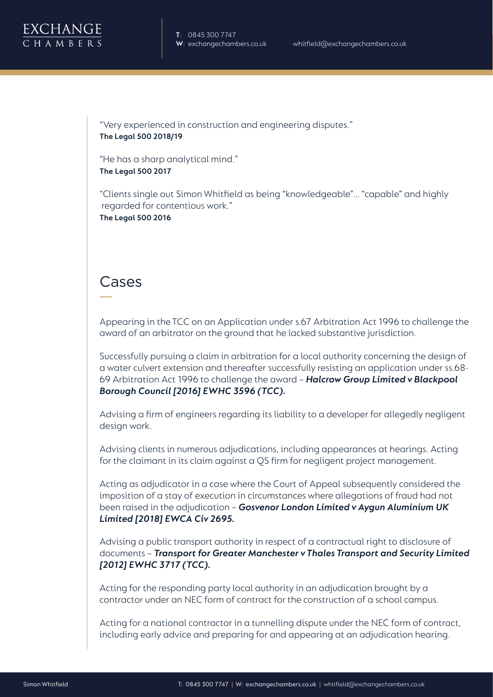

"Very experienced in construction and engineering disputes." **The Legal 500 2018/19**

"He has a sharp analytical mind." **The Legal 500 2017**

"Clients single out Simon Whitfield as being "knowledgeable"… "capable" and highly regarded for contentious work." **The Legal 500 2016**

### Cases

Appearing in the TCC on an Application under s.67 Arbitration Act 1996 to challenge the award of an arbitrator on the ground that he lacked substantive jurisdiction.

Successfully pursuing a claim in arbitration for a local authority concerning the design of a water culvert extension and thereafter successfully resisting an application under ss.68- 69 Arbitration Act 1996 to challenge the award – *Halcrow Group Limited v Blackpool Borough Council [2016] EWHC 3596 (TCC).* 

Advising a firm of engineers regarding its liability to a developer for allegedly negligent design work.

Advising clients in numerous adjudications, including appearances at hearings. Acting for the claimant in its claim against a QS firm for negligent project management.

Acting as adjudicator in a case where the Court of Appeal subsequently considered the imposition of a stay of execution in circumstances where allegations of fraud had not been raised in the adjudication – *Gosvenor London Limited v Aygun Aluminium UK Limited [2018] EWCA Civ 2695.*

Advising a public transport authority in respect of a contractual right to disclosure of documents – *Transport for Greater Manchester v Thales Transport and Security Limited [2012] EWHC 3717 (TCC).* 

Acting for the responding party local authority in an adjudication brought by a contractor under an NEC form of contract for the construction of a school campus.

Acting for a national contractor in a tunnelling dispute under the NEC form of contract, including early advice and preparing for and appearing at an adjudication hearing.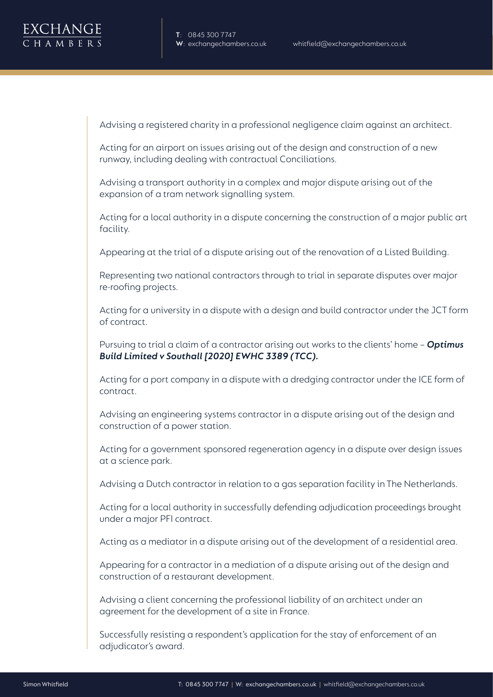Advising a registered charity in a professional negligence claim against an architect.

Acting for an airport on issues arising out of the design and construction of a new runway, including dealing with contractual Conciliations.

Advising a transport authority in a complex and major dispute arising out of the expansion of a tram network signalling system.

Acting for a local authority in a dispute concerning the construction of a major public art facility.

Appearing at the trial of a dispute arising out of the renovation of a Listed Building.

Representing two national contractors through to trial in separate disputes over major re-roofing projects.

Acting for a university in a dispute with a design and build contractor under the JCT form of contract.

Pursuing to trial a claim of a contractor arising out works to the clients' home – *Optimus Build Limited v Southall [2020] EWHC 3389 (TCC).*

Acting for a port company in a dispute with a dredging contractor under the ICE form of contract.

Advising an engineering systems contractor in a dispute arising out of the design and construction of a power station.

Acting for a government sponsored regeneration agency in a dispute over design issues at a science park.

Advising a Dutch contractor in relation to a gas separation facility in The Netherlands.

Acting for a local authority in successfully defending adjudication proceedings brought under a major PFI contract.

Acting as a mediator in a dispute arising out of the development of a residential area.

Appearing for a contractor in a mediation of a dispute arising out of the design and construction of a restaurant development.

Advising a client concerning the professional liability of an architect under an agreement for the development of a site in France.

Successfully resisting a respondent's application for the stay of enforcement of an adjudicator's award.